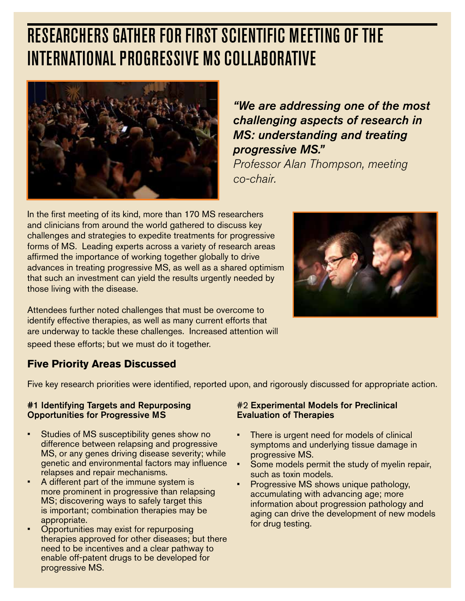# Researchers Gather for First Scientific Meeting of the **INTERNATIONAL PROGRESSIVE MS COLLABORATIVE**



*"We are addressing one of the most challenging aspects of research in MS: understanding and treating progressive MS."* 

*Professor Alan Thompson, meeting co-chair.*

In the first meeting of its kind, more than 170 MS researchers and clinicians from around the world gathered to discuss key challenges and strategies to expedite treatments for progressive forms of MS. Leading experts across a variety of research areas affirmed the importance of working together globally to drive advances in treating progressive MS, as well as a shared optimism that such an investment can yield the results urgently needed by those living with the disease.



Attendees further noted challenges that must be overcome to identify effective therapies, as well as many current efforts that are underway to tackle these challenges. Increased attention will speed these efforts; but we must do it together.

## **Five Priority Areas Discussed**

Five key research priorities were identified, reported upon, and rigorously discussed for appropriate action.

#### #1 Identifying Targets and Repurposing Opportunities for Progressive MS

- Studies of MS susceptibility genes show no difference between relapsing and progressive MS, or any genes driving disease severity; while genetic and environmental factors may influence relapses and repair mechanisms.
- A different part of the immune system is more prominent in progressive than relapsing MS; discovering ways to safely target this is important; combination therapies may be appropriate.
- Opportunities may exist for repurposing therapies approved for other diseases; but there need to be incentives and a clear pathway to enable off-patent drugs to be developed for progressive MS.

## #2 Experimental Models for Preclinical Evaluation of Therapies

- There is urgent need for models of clinical symptoms and underlying tissue damage in progressive MS.
- Some models permit the study of myelin repair, such as toxin models.
- Progressive MS shows unique pathology, accumulating with advancing age; more information about progression pathology and aging can drive the development of new models for drug testing.